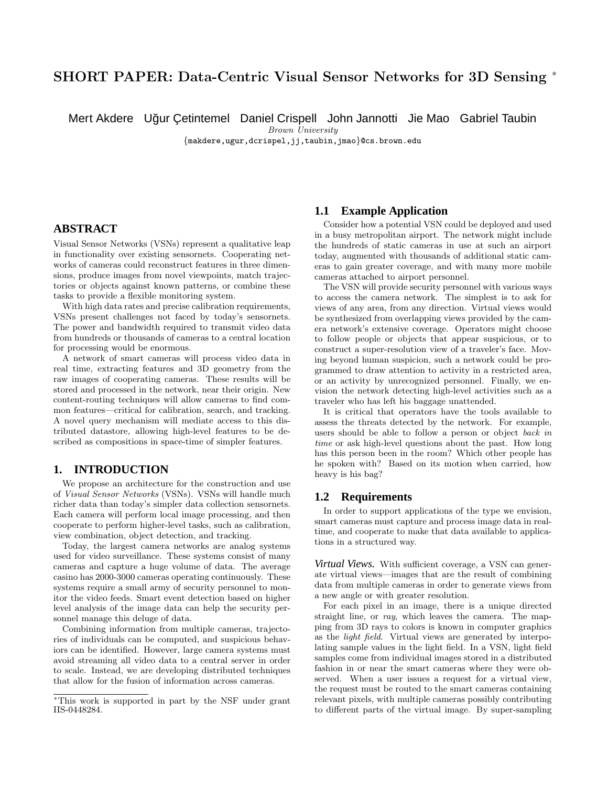## SHORT PAPER: Data-Centric Visual Sensor Networks for 3D Sensing <sup>∗</sup>

Mert Akdere Uğur Çetintemel Daniel Crispell John Jannotti Jie Mao Gabriel Taubin

Brown University

{makdere,ugur,dcrispel,jj,taubin,jmao}@cs.brown.edu

## **ABSTRACT**

Visual Sensor Networks (VSNs) represent a qualitative leap in functionality over existing sensornets. Cooperating networks of cameras could reconstruct features in three dimensions, produce images from novel viewpoints, match trajectories or objects against known patterns, or combine these tasks to provide a flexible monitoring system.

With high data rates and precise calibration requirements, VSNs present challenges not faced by today's sensornets. The power and bandwidth required to transmit video data from hundreds or thousands of cameras to a central location for processing would be enormous.

A network of smart cameras will process video data in real time, extracting features and 3D geometry from the raw images of cooperating cameras. These results will be stored and processed in the network, near their origin. New content-routing techniques will allow cameras to find common features—critical for calibration, search, and tracking. A novel query mechanism will mediate access to this distributed datastore, allowing high-level features to be described as compositions in space-time of simpler features.

### **1. INTRODUCTION**

We propose an architecture for the construction and use of Visual Sensor Networks (VSNs). VSNs will handle much richer data than today's simpler data collection sensornets. Each camera will perform local image processing, and then cooperate to perform higher-level tasks, such as calibration, view combination, object detection, and tracking.

Today, the largest camera networks are analog systems used for video surveillance. These systems consist of many cameras and capture a huge volume of data. The average casino has 2000-3000 cameras operating continuously. These systems require a small army of security personnel to monitor the video feeds. Smart event detection based on higher level analysis of the image data can help the security personnel manage this deluge of data.

Combining information from multiple cameras, trajectories of individuals can be computed, and suspicious behaviors can be identified. However, large camera systems must avoid streaming all video data to a central server in order to scale. Instead, we are developing distributed techniques that allow for the fusion of information across cameras.

#### **1.1 Example Application**

Consider how a potential VSN could be deployed and used in a busy metropolitan airport. The network might include the hundreds of static cameras in use at such an airport today, augmented with thousands of additional static cameras to gain greater coverage, and with many more mobile cameras attached to airport personnel.

The VSN will provide security personnel with various ways to access the camera network. The simplest is to ask for views of any area, from any direction. Virtual views would be synthesized from overlapping views provided by the camera network's extensive coverage. Operators might choose to follow people or objects that appear suspicious, or to construct a super-resolution view of a traveler's face. Moving beyond human suspicion, such a network could be programmed to draw attention to activity in a restricted area, or an activity by unrecognized personnel. Finally, we envision the network detecting high-level activities such as a traveler who has left his baggage unattended.

It is critical that operators have the tools available to assess the threats detected by the network. For example, users should be able to follow a person or object back in time or ask high-level questions about the past. How long has this person been in the room? Which other people has he spoken with? Based on its motion when carried, how heavy is his bag?

#### **1.2 Requirements**

In order to support applications of the type we envision, smart cameras must capture and process image data in realtime, and cooperate to make that data available to applications in a structured way.

*Virtual Views.* With sufficient coverage, a VSN can generate virtual views—images that are the result of combining data from multiple cameras in order to generate views from a new angle or with greater resolution.

For each pixel in an image, there is a unique directed straight line, or ray, which leaves the camera. The mapping from 3D rays to colors is known in computer graphics as the light field. Virtual views are generated by interpolating sample values in the light field. In a VSN, light field samples come from individual images stored in a distributed fashion in or near the smart cameras where they were observed. When a user issues a request for a virtual view, the request must be routed to the smart cameras containing relevant pixels, with multiple cameras possibly contributing to different parts of the virtual image. By super-sampling

<sup>∗</sup>This work is supported in part by the NSF under grant IIS-0448284.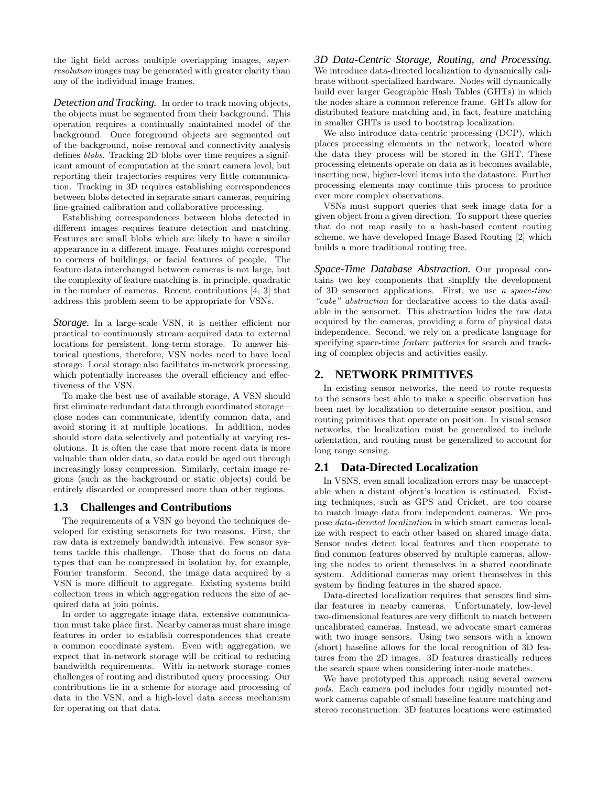the light field across multiple overlapping images, superresolution images may be generated with greater clarity than any of the individual image frames.

*Detection and Tracking.* In order to track moving objects, the objects must be segmented from their background. This operation requires a continually maintained model of the background. Once foreground objects are segmented out of the background, noise removal and connectivity analysis defines blobs. Tracking 2D blobs over time requires a significant amount of computation at the smart camera level, but reporting their trajectories requires very little communication. Tracking in 3D requires establishing correspondences between blobs detected in separate smart cameras, requiring fine-grained calibration and collaborative processing.

Establishing correspondences between blobs detected in different images requires feature detection and matching. Features are small blobs which are likely to have a similar appearance in a different image. Features might correspond to corners of buildings, or facial features of people. The feature data interchanged between cameras is not large, but the complexity of feature matching is, in principle, quadratic in the number of cameras. Recent contributions [4, 3] that address this problem seem to be appropriate for VSNs.

*Storage.* In a large-scale VSN, it is neither efficient nor practical to continuously stream acquired data to external locations for persistent, long-term storage. To answer historical questions, therefore, VSN nodes need to have local storage. Local storage also facilitates in-network processing, which potentially increases the overall efficiency and effectiveness of the VSN.

To make the best use of available storage, A VSN should first eliminate redundant data through coordinated storage close nodes can communicate, identify common data, and avoid storing it at multiple locations. In addition, nodes should store data selectively and potentially at varying resolutions. It is often the case that more recent data is more valuable than older data, so data could be aged out through increasingly lossy compression. Similarly, certain image regions (such as the background or static objects) could be entirely discarded or compressed more than other regions.

#### **1.3 Challenges and Contributions**

The requirements of a VSN go beyond the techniques developed for existing sensornets for two reasons. First, the raw data is extremely bandwidth intensive. Few sensor systems tackle this challenge. Those that do focus on data types that can be compressed in isolation by, for example, Fourier transform. Second, the image data acquired by a VSN is more difficult to aggregate. Existing systems build collection trees in which aggregation reduces the size of acquired data at join points.

In order to aggregate image data, extensive communication must take place first. Nearby cameras must share image features in order to establish correspondences that create a common coordinate system. Even with aggregation, we expect that in-network storage will be critical to reducing bandwidth requirements. With in-network storage comes challenges of routing and distributed query processing. Our contributions lie in a scheme for storage and processing of data in the VSN, and a high-level data access mechanism for operating on that data.

*3D Data-Centric Storage, Routing, and Processing.* We introduce data-directed localization to dynamically calibrate without specialized hardware. Nodes will dynamically build ever larger Geographic Hash Tables (GHTs) in which the nodes share a common reference frame. GHTs allow for distributed feature matching and, in fact, feature matching in smaller GHTs is used to bootstrap localization.

We also introduce data-centric processing (DCP), which places processing elements in the network, located where the data they process will be stored in the GHT. These processing elements operate on data as it becomes available, inserting new, higher-level items into the datastore. Further processing elements may continue this process to produce ever more complex observations.

VSNs must support queries that seek image data for a given object from a given direction. To support these queries that do not map easily to a hash-based content routing scheme, we have developed Image Based Routing [2] which builds a more traditional routing tree.

*Space-Time Database Abstraction.* Our proposal contains two key components that simplify the development of 3D sensornet applications. First, we use a space-time "cube" abstraction for declarative access to the data available in the sensornet. This abstraction hides the raw data acquired by the cameras, providing a form of physical data independence. Second, we rely on a predicate language for specifying space-time feature patterns for search and tracking of complex objects and activities easily.

## **2. NETWORK PRIMITIVES**

In existing sensor networks, the need to route requests to the sensors best able to make a specific observation has been met by localization to determine sensor position, and routing primitives that operate on position. In visual sensor networks, the localization must be generalized to include orientation, and routing must be generalized to account for long range sensing.

## **2.1 Data-Directed Localization**

In VSNS, even small localization errors may be unacceptable when a distant object's location is estimated. Existing techniques, such as GPS and Cricket, are too coarse to match image data from independent cameras. We propose data-directed localization in which smart cameras localize with respect to each other based on shared image data. Sensor nodes detect local features and then cooperate to find common features observed by multiple cameras, allowing the nodes to orient themselves in a shared coordinate system. Additional cameras may orient themselves in this system by finding features in the shared space.

Data-directed localization requires that sensors find similar features in nearby cameras. Unfortunately, low-level two-dimensional features are very difficult to match between uncalibrated cameras. Instead, we advocate smart cameras with two image sensors. Using two sensors with a known (short) baseline allows for the local recognition of 3D features from the 2D images. 3D features drastically reduces the search space when considering inter-node matches.

We have prototyped this approach using several *camera* pods. Each camera pod includes four rigidly mounted network cameras capable of small baseline feature matching and stereo reconstruction. 3D features locations were estimated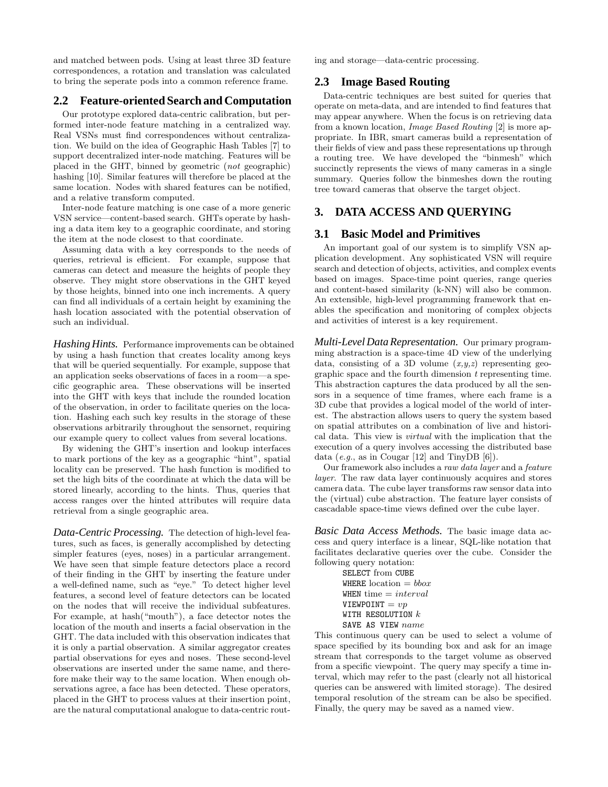and matched between pods. Using at least three 3D feature correspondences, a rotation and translation was calculated to bring the seperate pods into a common reference frame.

## **2.2 Feature-oriented Search and Computation**

Our prototype explored data-centric calibration, but performed inter-node feature matching in a centralized way. Real VSNs must find correspondences without centralization. We build on the idea of Geographic Hash Tables [7] to support decentralized inter-node matching. Features will be placed in the GHT, binned by geometric (not geographic) hashing [10]. Similar features will therefore be placed at the same location. Nodes with shared features can be notified, and a relative transform computed.

Inter-node feature matching is one case of a more generic VSN service—content-based search. GHTs operate by hashing a data item key to a geographic coordinate, and storing the item at the node closest to that coordinate.

Assuming data with a key corresponds to the needs of queries, retrieval is efficient. For example, suppose that cameras can detect and measure the heights of people they observe. They might store observations in the GHT keyed by those heights, binned into one inch increments. A query can find all individuals of a certain height by examining the hash location associated with the potential observation of such an individual.

*Hashing Hints.* Performance improvements can be obtained by using a hash function that creates locality among keys that will be queried sequentially. For example, suppose that an application seeks observations of faces in a room—a specific geographic area. These observations will be inserted into the GHT with keys that include the rounded location of the observation, in order to facilitate queries on the location. Hashing each such key results in the storage of these observations arbitrarily throughout the sensornet, requiring our example query to collect values from several locations.

By widening the GHT's insertion and lookup interfaces to mark portions of the key as a geographic "hint", spatial locality can be preserved. The hash function is modified to set the high bits of the coordinate at which the data will be stored linearly, according to the hints. Thus, queries that access ranges over the hinted attributes will require data retrieval from a single geographic area.

*Data-Centric Processing.* The detection of high-level features, such as faces, is generally accomplished by detecting simpler features (eyes, noses) in a particular arrangement. We have seen that simple feature detectors place a record of their finding in the GHT by inserting the feature under a well-defined name, such as "eye." To detect higher level features, a second level of feature detectors can be located on the nodes that will receive the individual subfeatures. For example, at hash("mouth"), a face detector notes the location of the mouth and inserts a facial observation in the GHT. The data included with this observation indicates that it is only a partial observation. A similar aggregator creates partial observations for eyes and noses. These second-level observations are inserted under the same name, and therefore make their way to the same location. When enough observations agree, a face has been detected. These operators, placed in the GHT to process values at their insertion point, are the natural computational analogue to data-centric routing and storage—data-centric processing.

#### **2.3 Image Based Routing**

Data-centric techniques are best suited for queries that operate on meta-data, and are intended to find features that may appear anywhere. When the focus is on retrieving data from a known location, Image Based Routing [2] is more appropriate. In IBR, smart cameras build a representation of their fields of view and pass these representations up through a routing tree. We have developed the "binmesh" which succinctly represents the views of many cameras in a single summary. Queries follow the binmeshes down the routing tree toward cameras that observe the target object.

## **3. DATA ACCESS AND QUERYING**

#### **3.1 Basic Model and Primitives**

An important goal of our system is to simplify VSN application development. Any sophisticated VSN will require search and detection of objects, activities, and complex events based on images. Space-time point queries, range queries and content-based similarity (k-NN) will also be common. An extensible, high-level programming framework that enables the specification and monitoring of complex objects and activities of interest is a key requirement.

*Multi-Level Data Representation.* Our primary programming abstraction is a space-time 4D view of the underlying data, consisting of a 3D volume  $(x,y,z)$  representing geographic space and the fourth dimension  $t$  representing time. This abstraction captures the data produced by all the sensors in a sequence of time frames, where each frame is a 3D cube that provides a logical model of the world of interest. The abstraction allows users to query the system based on spatial attributes on a combination of live and historical data. This view is virtual with the implication that the execution of a query involves accessing the distributed base data  $(e.g.,$  as in Cougar [12] and TinyDB [6]).

Our framework also includes a raw data layer and a feature *layer.* The raw data layer continuously acquires and stores camera data. The cube layer transforms raw sensor data into the (virtual) cube abstraction. The feature layer consists of cascadable space-time views defined over the cube layer.

*Basic Data Access Methods.* The basic image data access and query interface is a linear, SQL-like notation that facilitates declarative queries over the cube. Consider the following query notation:

> SELECT from CUBE WHERE location  $= bbox$ WHEN time  $=$  interval VIEWPOINT  $= vp$ WITH RESOLUTION  $k$ SAVE AS VIEW name

This continuous query can be used to select a volume of space specified by its bounding box and ask for an image stream that corresponds to the target volume as observed from a specific viewpoint. The query may specify a time interval, which may refer to the past (clearly not all historical queries can be answered with limited storage). The desired temporal resolution of the stream can be also be specified. Finally, the query may be saved as a named view.